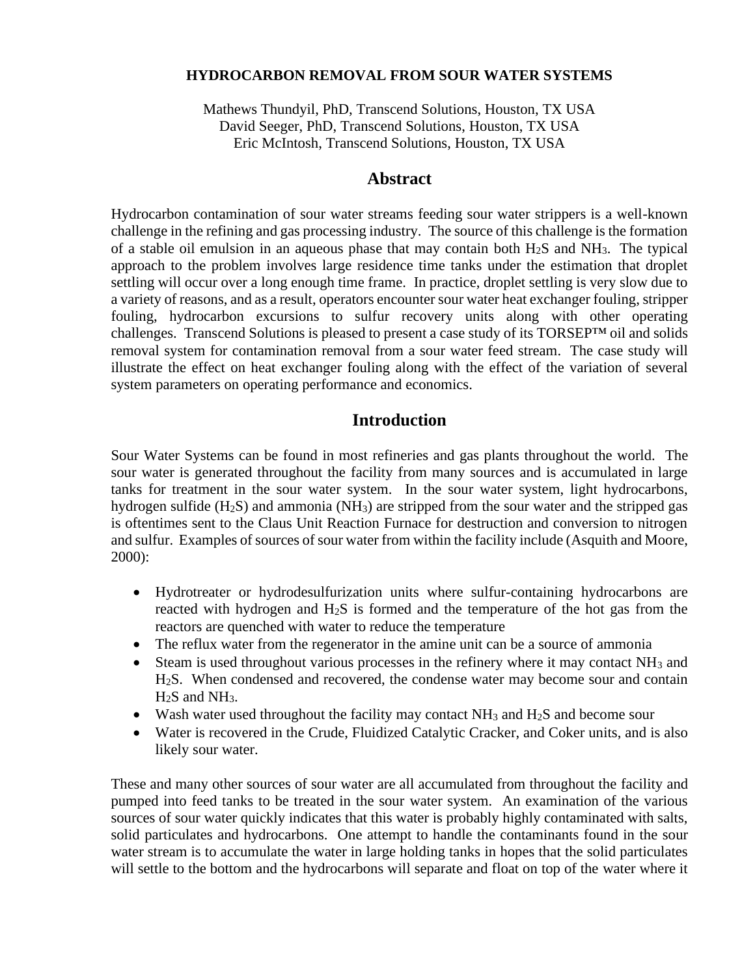### **HYDROCARBON REMOVAL FROM SOUR WATER SYSTEMS**

Mathews Thundyil, PhD, Transcend Solutions, Houston, TX USA David Seeger, PhD, Transcend Solutions, Houston, TX USA Eric McIntosh, Transcend Solutions, Houston, TX USA

## **Abstract**

Hydrocarbon contamination of sour water streams feeding sour water strippers is a well-known challenge in the refining and gas processing industry. The source of this challenge is the formation of a stable oil emulsion in an aqueous phase that may contain both  $H_2S$  and  $NH_3$ . The typical approach to the problem involves large residence time tanks under the estimation that droplet settling will occur over a long enough time frame. In practice, droplet settling is very slow due to a variety of reasons, and as a result, operators encounter sour water heat exchanger fouling, stripper fouling, hydrocarbon excursions to sulfur recovery units along with other operating challenges. Transcend Solutions is pleased to present a case study of its TORSEP™ oil and solids removal system for contamination removal from a sour water feed stream. The case study will illustrate the effect on heat exchanger fouling along with the effect of the variation of several system parameters on operating performance and economics.

## **Introduction**

Sour Water Systems can be found in most refineries and gas plants throughout the world. The sour water is generated throughout the facility from many sources and is accumulated in large tanks for treatment in the sour water system. In the sour water system, light hydrocarbons, hydrogen sulfide (H<sub>2</sub>S) and ammonia (NH<sub>3</sub>) are stripped from the sour water and the stripped gas is oftentimes sent to the Claus Unit Reaction Furnace for destruction and conversion to nitrogen and sulfur. Examples of sources of sour water from within the facility include (Asquith and Moore, 2000):

- Hydrotreater or hydrodesulfurization units where sulfur-containing hydrocarbons are reacted with hydrogen and H2S is formed and the temperature of the hot gas from the reactors are quenched with water to reduce the temperature
- The reflux water from the regenerator in the amine unit can be a source of ammonia
- Steam is used throughout various processes in the refinery where it may contact  $NH_3$  and H2S. When condensed and recovered, the condense water may become sour and contain  $H<sub>2</sub>S$  and NH<sub>3</sub>.
- Wash water used throughout the facility may contact  $NH_3$  and  $H_2S$  and become sour
- Water is recovered in the Crude, Fluidized Catalytic Cracker, and Coker units, and is also likely sour water.

These and many other sources of sour water are all accumulated from throughout the facility and pumped into feed tanks to be treated in the sour water system. An examination of the various sources of sour water quickly indicates that this water is probably highly contaminated with salts, solid particulates and hydrocarbons. One attempt to handle the contaminants found in the sour water stream is to accumulate the water in large holding tanks in hopes that the solid particulates will settle to the bottom and the hydrocarbons will separate and float on top of the water where it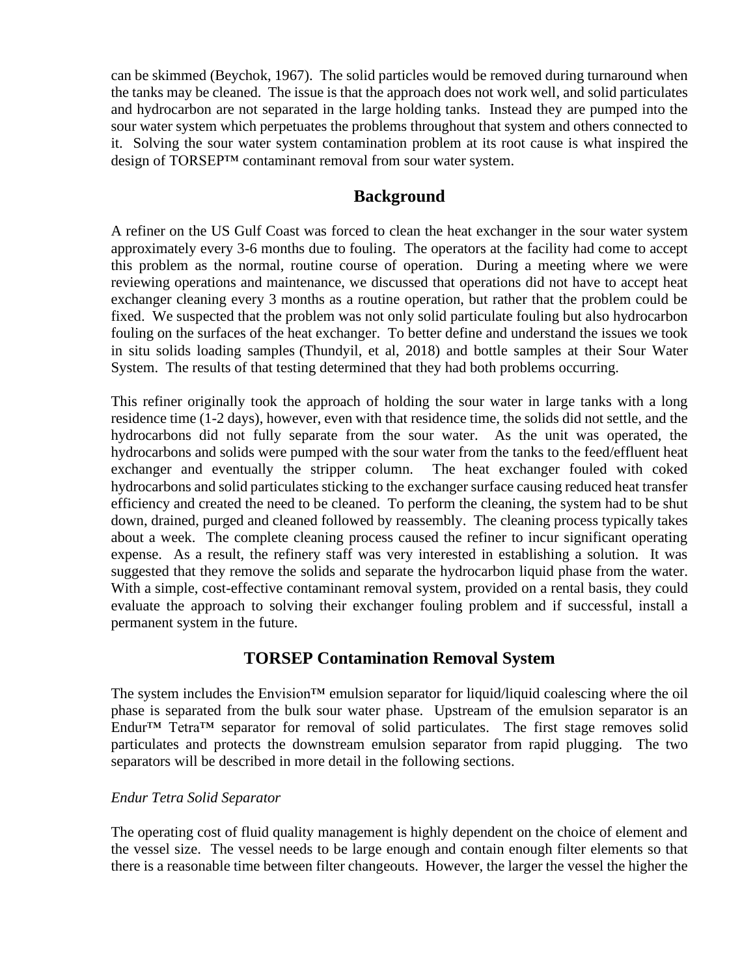can be skimmed (Beychok, 1967). The solid particles would be removed during turnaround when the tanks may be cleaned. The issue is that the approach does not work well, and solid particulates and hydrocarbon are not separated in the large holding tanks. Instead they are pumped into the sour water system which perpetuates the problems throughout that system and others connected to it. Solving the sour water system contamination problem at its root cause is what inspired the design of TORSEP™ contaminant removal from sour water system.

# **Background**

A refiner on the US Gulf Coast was forced to clean the heat exchanger in the sour water system approximately every 3-6 months due to fouling. The operators at the facility had come to accept this problem as the normal, routine course of operation. During a meeting where we were reviewing operations and maintenance, we discussed that operations did not have to accept heat exchanger cleaning every 3 months as a routine operation, but rather that the problem could be fixed. We suspected that the problem was not only solid particulate fouling but also hydrocarbon fouling on the surfaces of the heat exchanger. To better define and understand the issues we took in situ solids loading samples (Thundyil, et al, 2018) and bottle samples at their Sour Water System. The results of that testing determined that they had both problems occurring.

This refiner originally took the approach of holding the sour water in large tanks with a long residence time (1-2 days), however, even with that residence time, the solids did not settle, and the hydrocarbons did not fully separate from the sour water. As the unit was operated, the hydrocarbons and solids were pumped with the sour water from the tanks to the feed/effluent heat exchanger and eventually the stripper column. The heat exchanger fouled with coked hydrocarbons and solid particulates sticking to the exchanger surface causing reduced heat transfer efficiency and created the need to be cleaned. To perform the cleaning, the system had to be shut down, drained, purged and cleaned followed by reassembly. The cleaning process typically takes about a week. The complete cleaning process caused the refiner to incur significant operating expense. As a result, the refinery staff was very interested in establishing a solution. It was suggested that they remove the solids and separate the hydrocarbon liquid phase from the water. With a simple, cost-effective contaminant removal system, provided on a rental basis, they could evaluate the approach to solving their exchanger fouling problem and if successful, install a permanent system in the future.

# **TORSEP Contamination Removal System**

The system includes the Envision<sup>TM</sup> emulsion separator for liquid/liquid coalescing where the oil phase is separated from the bulk sour water phase. Upstream of the emulsion separator is an Endur™ Tetra™ separator for removal of solid particulates. The first stage removes solid particulates and protects the downstream emulsion separator from rapid plugging. The two separators will be described in more detail in the following sections.

### *Endur Tetra Solid Separator*

The operating cost of fluid quality management is highly dependent on the choice of element and the vessel size. The vessel needs to be large enough and contain enough filter elements so that there is a reasonable time between filter changeouts. However, the larger the vessel the higher the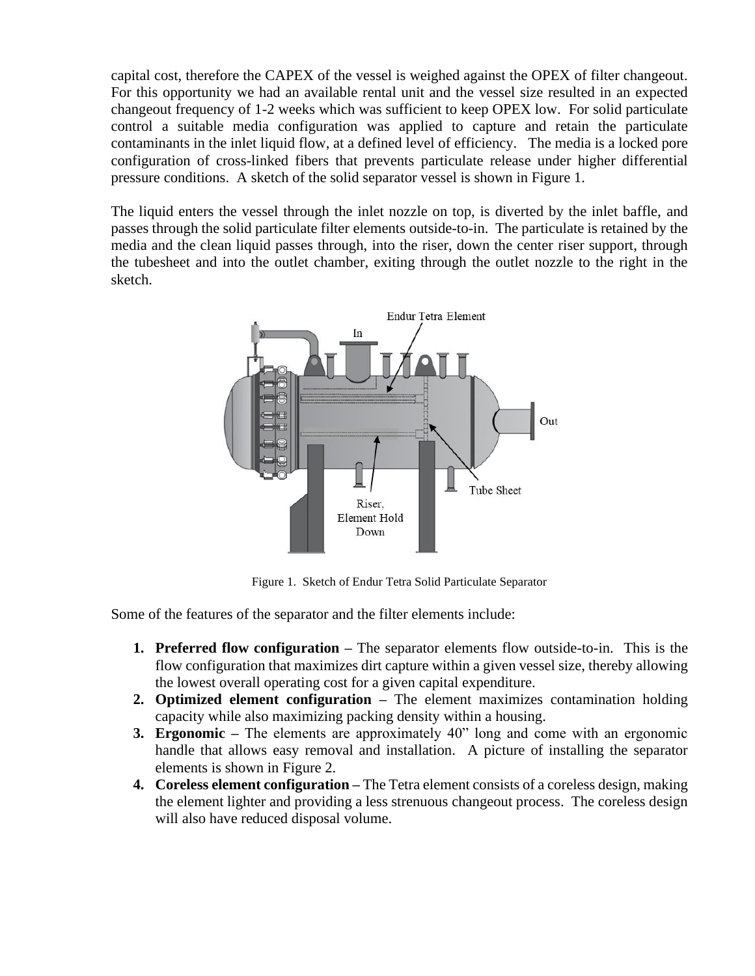capital cost, therefore the CAPEX of the vessel is weighed against the OPEX of filter changeout. For this opportunity we had an available rental unit and the vessel size resulted in an expected changeout frequency of 1-2 weeks which was sufficient to keep OPEX low. For solid particulate control a suitable media configuration was applied to capture and retain the particulate contaminants in the inlet liquid flow, at a defined level of efficiency. The media is a locked pore configuration of cross-linked fibers that prevents particulate release under higher differential pressure conditions. A sketch of the solid separator vessel is shown in Figure 1.

The liquid enters the vessel through the inlet nozzle on top, is diverted by the inlet baffle, and passes through the solid particulate filter elements outside-to-in. The particulate is retained by the media and the clean liquid passes through, into the riser, down the center riser support, through the tubesheet and into the outlet chamber, exiting through the outlet nozzle to the right in the sketch.



Figure 1. Sketch of Endur Tetra Solid Particulate Separator

Some of the features of the separator and the filter elements include:

- **1. Preferred flow configuration –** The separator elements flow outside-to-in. This is the flow configuration that maximizes dirt capture within a given vessel size, thereby allowing the lowest overall operating cost for a given capital expenditure.
- **2. Optimized element configuration –** The element maximizes contamination holding capacity while also maximizing packing density within a housing.
- **3. Ergonomic –** The elements are approximately 40" long and come with an ergonomic handle that allows easy removal and installation. A picture of installing the separator elements is shown in Figure 2.
- **4. Coreless element configuration –** The Tetra element consists of a coreless design, making the element lighter and providing a less strenuous changeout process. The coreless design will also have reduced disposal volume.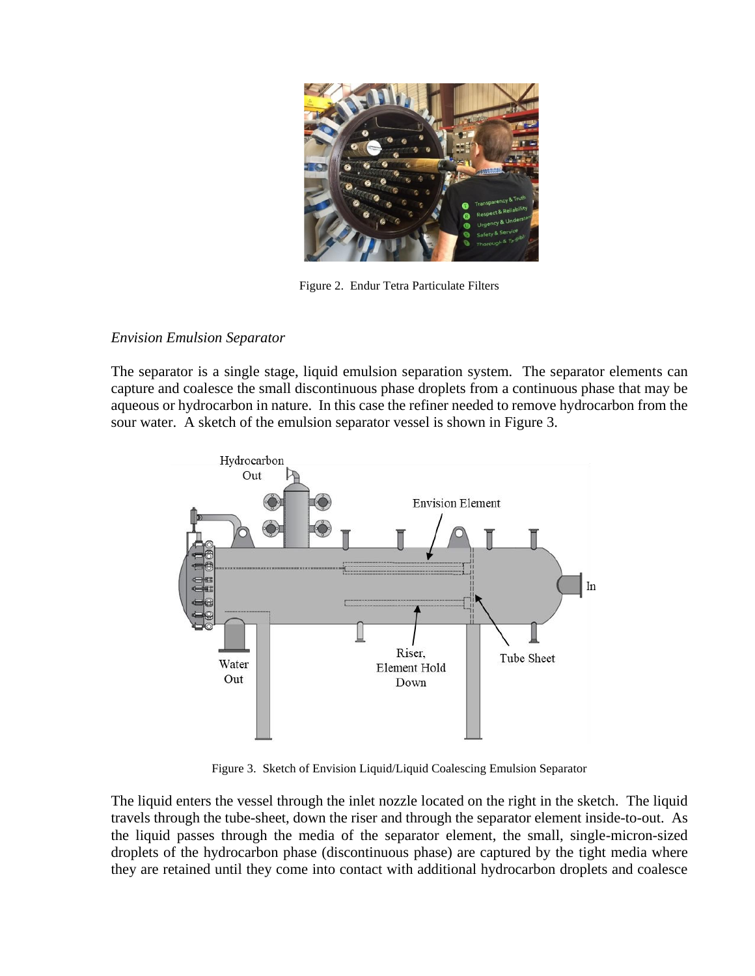

Figure 2. Endur Tetra Particulate Filters

## *Envision Emulsion Separator*

The separator is a single stage, liquid emulsion separation system. The separator elements can capture and coalesce the small discontinuous phase droplets from a continuous phase that may be aqueous or hydrocarbon in nature. In this case the refiner needed to remove hydrocarbon from the sour water. A sketch of the emulsion separator vessel is shown in Figure 3.



Figure 3. Sketch of Envision Liquid/Liquid Coalescing Emulsion Separator

The liquid enters the vessel through the inlet nozzle located on the right in the sketch. The liquid travels through the tube-sheet, down the riser and through the separator element inside-to-out. As the liquid passes through the media of the separator element, the small, single-micron-sized droplets of the hydrocarbon phase (discontinuous phase) are captured by the tight media where they are retained until they come into contact with additional hydrocarbon droplets and coalesce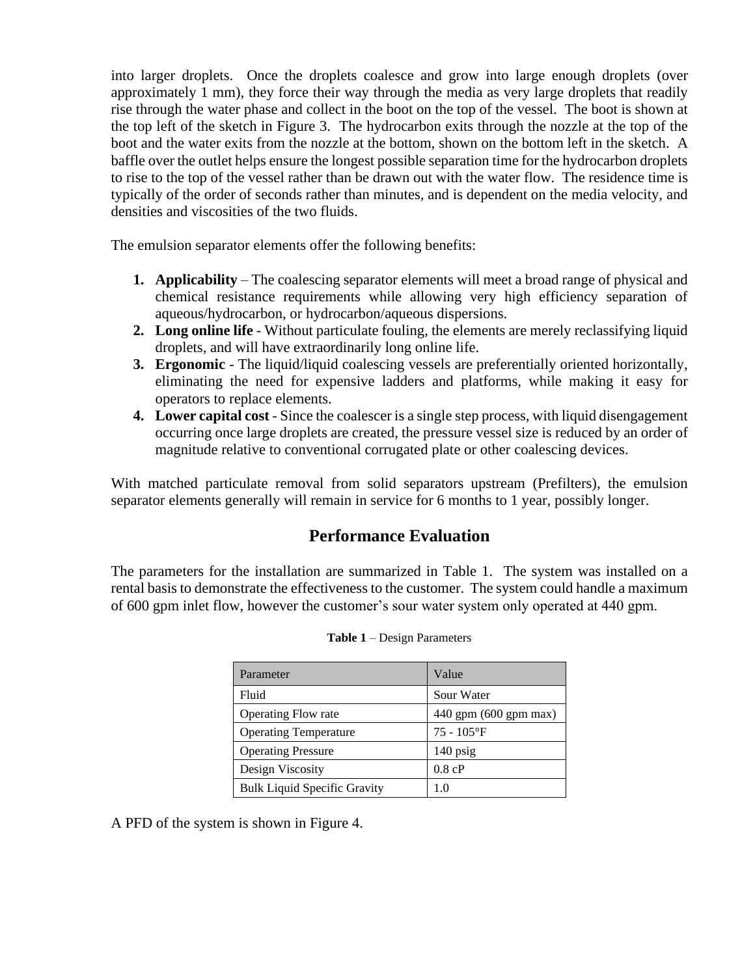into larger droplets. Once the droplets coalesce and grow into large enough droplets (over approximately 1 mm), they force their way through the media as very large droplets that readily rise through the water phase and collect in the boot on the top of the vessel. The boot is shown at the top left of the sketch in Figure 3. The hydrocarbon exits through the nozzle at the top of the boot and the water exits from the nozzle at the bottom, shown on the bottom left in the sketch. A baffle over the outlet helps ensure the longest possible separation time for the hydrocarbon droplets to rise to the top of the vessel rather than be drawn out with the water flow. The residence time is typically of the order of seconds rather than minutes, and is dependent on the media velocity, and densities and viscosities of the two fluids.

The emulsion separator elements offer the following benefits:

- **1. Applicability** The coalescing separator elements will meet a broad range of physical and chemical resistance requirements while allowing very high efficiency separation of aqueous/hydrocarbon, or hydrocarbon/aqueous dispersions.
- **2. Long online life**  Without particulate fouling, the elements are merely reclassifying liquid droplets, and will have extraordinarily long online life.
- **3. Ergonomic**  The liquid/liquid coalescing vessels are preferentially oriented horizontally, eliminating the need for expensive ladders and platforms, while making it easy for operators to replace elements.
- **4.** Lower capital cost Since the coalescer is a single step process, with liquid disengagement occurring once large droplets are created, the pressure vessel size is reduced by an order of magnitude relative to conventional corrugated plate or other coalescing devices.

With matched particulate removal from solid separators upstream (Prefilters), the emulsion separator elements generally will remain in service for 6 months to 1 year, possibly longer.

# **Performance Evaluation**

The parameters for the installation are summarized in Table 1. The system was installed on a rental basis to demonstrate the effectiveness to the customer. The system could handle a maximum of 600 gpm inlet flow, however the customer's sour water system only operated at 440 gpm.

| Parameter                           | Value                     |
|-------------------------------------|---------------------------|
| Fluid                               | Sour Water                |
| <b>Operating Flow rate</b>          | $440$ gpm $(600$ gpm max) |
| <b>Operating Temperature</b>        | $75 - 105$ °F             |
| <b>Operating Pressure</b>           | $140$ psig                |
| Design Viscosity                    | 0.8 cP                    |
| <b>Bulk Liquid Specific Gravity</b> | 1.0                       |

**Table 1** – Design Parameters

A PFD of the system is shown in Figure 4.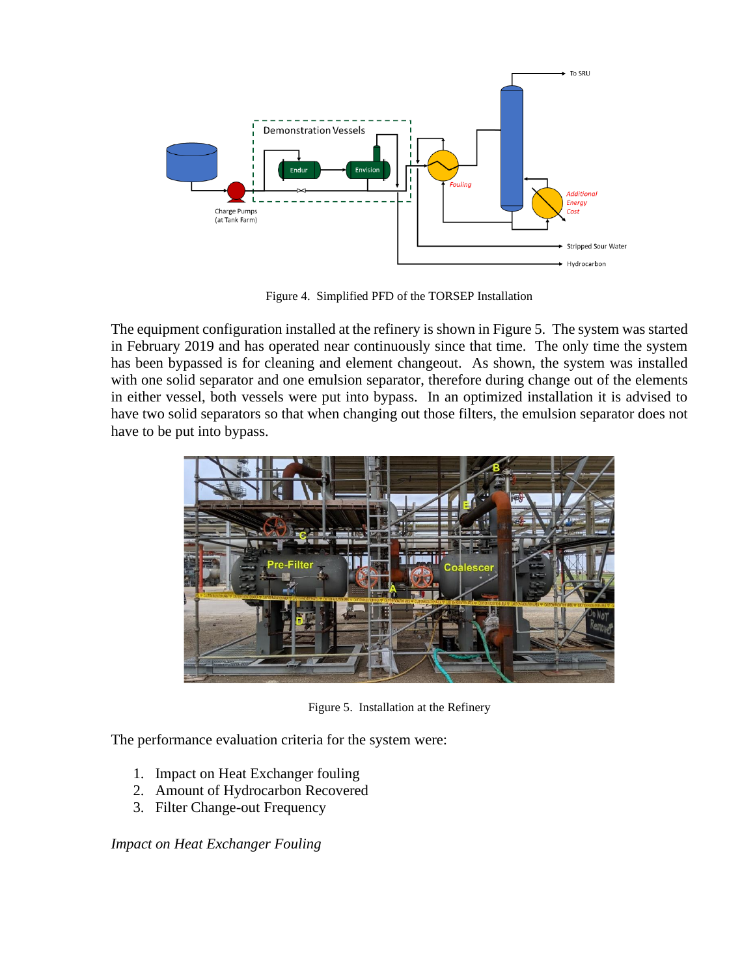

Figure 4. Simplified PFD of the TORSEP Installation

The equipment configuration installed at the refinery is shown in Figure 5. The system was started in February 2019 and has operated near continuously since that time. The only time the system has been bypassed is for cleaning and element changeout. As shown, the system was installed with one solid separator and one emulsion separator, therefore during change out of the elements in either vessel, both vessels were put into bypass. In an optimized installation it is advised to have two solid separators so that when changing out those filters, the emulsion separator does not have to be put into bypass.



Figure 5. Installation at the Refinery

The performance evaluation criteria for the system were:

- 1. Impact on Heat Exchanger fouling
- 2. Amount of Hydrocarbon Recovered
- 3. Filter Change-out Frequency

*Impact on Heat Exchanger Fouling*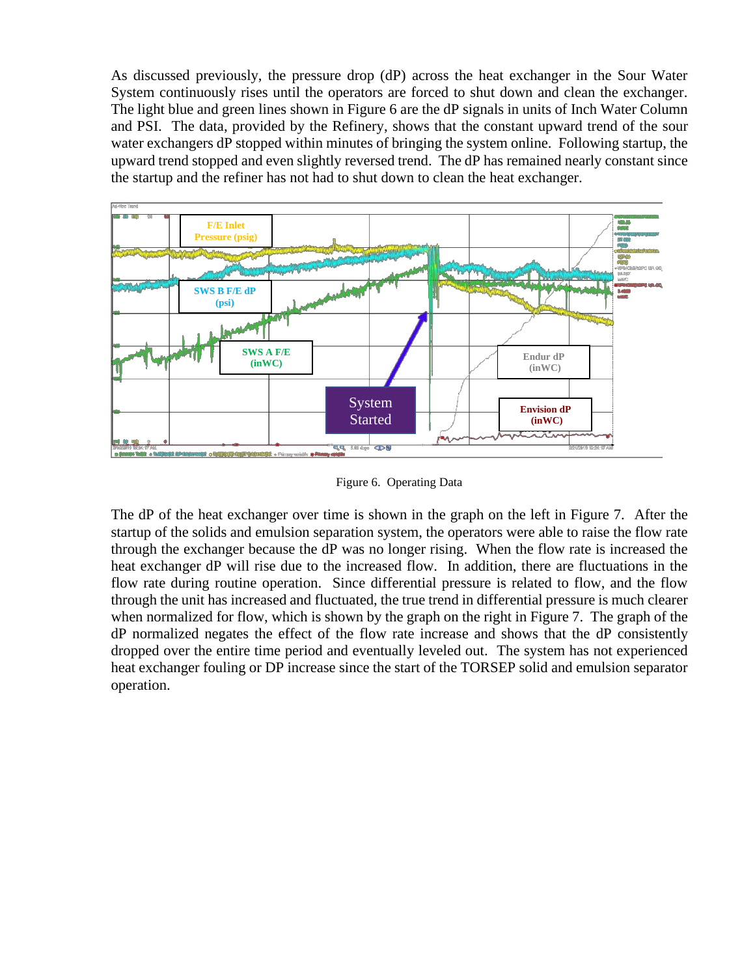As discussed previously, the pressure drop (dP) across the heat exchanger in the Sour Water System continuously rises until the operators are forced to shut down and clean the exchanger. The light blue and green lines shown in Figure 6 are the dP signals in units of Inch Water Column and PSI. The data, provided by the Refinery, shows that the constant upward trend of the sour water exchangers dP stopped within minutes of bringing the system online. Following startup, the upward trend stopped and even slightly reversed trend. The dP has remained nearly constant since the startup and the refiner has not had to shut down to clean the heat exchanger.



Figure 6. Operating Data

The dP of the heat exchanger over time is shown in the graph on the left in Figure 7. After the startup of the solids and emulsion separation system, the operators were able to raise the flow rate through the exchanger because the dP was no longer rising. When the flow rate is increased the heat exchanger dP will rise due to the increased flow. In addition, there are fluctuations in the flow rate during routine operation. Since differential pressure is related to flow, and the flow through the unit has increased and fluctuated, the true trend in differential pressure is much clearer when normalized for flow, which is shown by the graph on the right in Figure 7. The graph of the dP normalized negates the effect of the flow rate increase and shows that the dP consistently dropped over the entire time period and eventually leveled out. The system has not experienced heat exchanger fouling or DP increase since the start of the TORSEP solid and emulsion separator operation.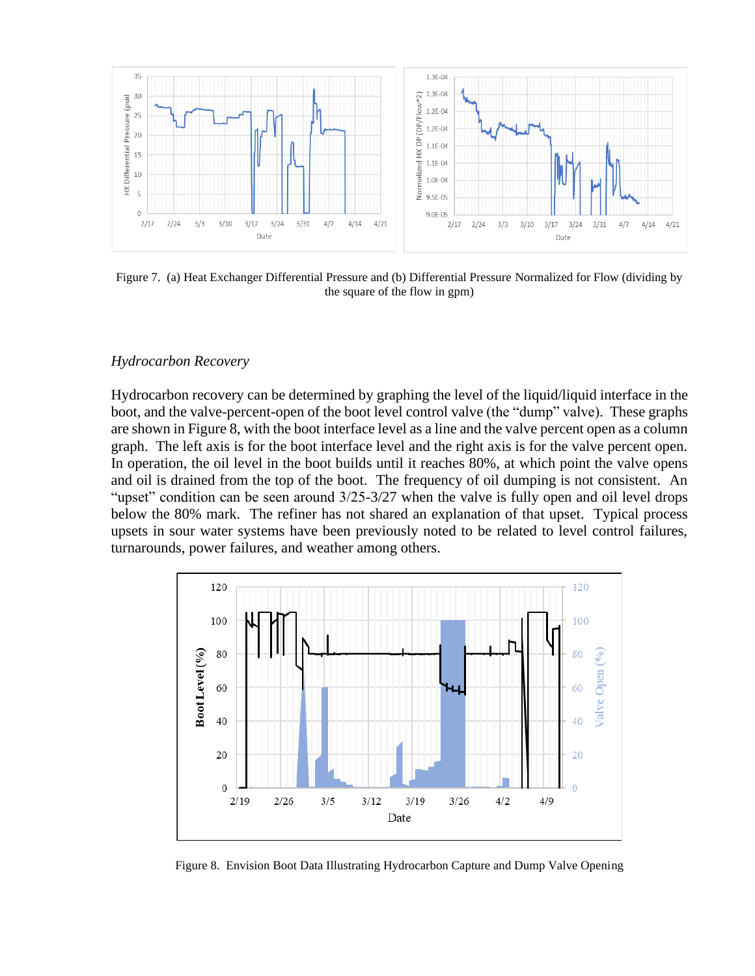

Figure 7. (a) Heat Exchanger Differential Pressure and (b) Differential Pressure Normalized for Flow (dividing by the square of the flow in gpm)

#### *Hydrocarbon Recovery*

Hydrocarbon recovery can be determined by graphing the level of the liquid/liquid interface in the boot, and the valve-percent-open of the boot level control valve (the "dump" valve). These graphs are shown in Figure 8, with the boot interface level as a line and the valve percent open as a column graph. The left axis is for the boot interface level and the right axis is for the valve percent open. In operation, the oil level in the boot builds until it reaches 80%, at which point the valve opens and oil is drained from the top of the boot. The frequency of oil dumping is not consistent. An "upset" condition can be seen around  $3/25-3/27$  when the valve is fully open and oil level drops below the 80% mark. The refiner has not shared an explanation of that upset. Typical process upsets in sour water systems have been previously noted to be related to level control failures, turnarounds, power failures, and weather among others.



Figure 8. Envision Boot Data Illustrating Hydrocarbon Capture and Dump Valve Opening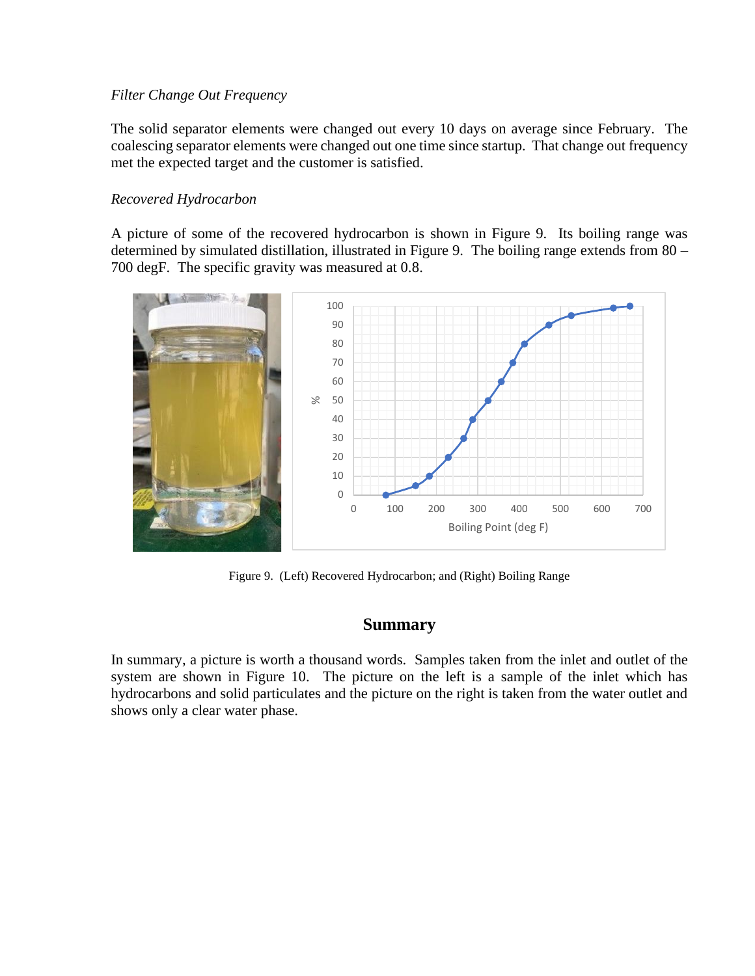## *Filter Change Out Frequency*

The solid separator elements were changed out every 10 days on average since February. The coalescing separator elements were changed out one time since startup. That change out frequency met the expected target and the customer is satisfied.

## *Recovered Hydrocarbon*

A picture of some of the recovered hydrocarbon is shown in Figure 9. Its boiling range was determined by simulated distillation, illustrated in Figure 9. The boiling range extends from 80 – 700 degF. The specific gravity was measured at 0.8.



Figure 9. (Left) Recovered Hydrocarbon; and (Right) Boiling Range

## **Summary**

In summary, a picture is worth a thousand words. Samples taken from the inlet and outlet of the system are shown in Figure 10. The picture on the left is a sample of the inlet which has hydrocarbons and solid particulates and the picture on the right is taken from the water outlet and shows only a clear water phase.